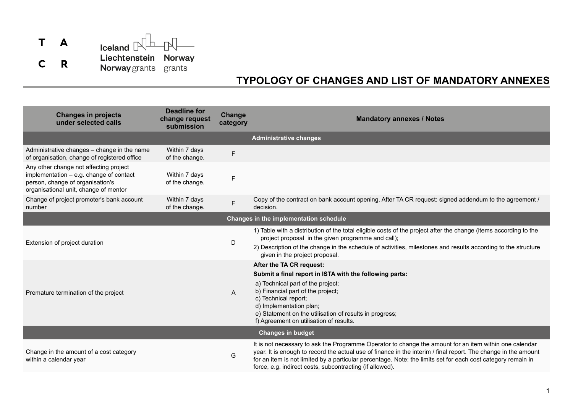

## **TYPOLOGY OF CHANGES AND LIST OF MANDATORY ANNEXES**

| <b>Changes in projects</b><br>under selected calls                                                                                                             | <b>Deadline for</b><br>change request<br>submission | Change<br>category | <b>Mandatory annexes / Notes</b>                                                                                                                                                                                                                                                                                                                                                                     |  |  |
|----------------------------------------------------------------------------------------------------------------------------------------------------------------|-----------------------------------------------------|--------------------|------------------------------------------------------------------------------------------------------------------------------------------------------------------------------------------------------------------------------------------------------------------------------------------------------------------------------------------------------------------------------------------------------|--|--|
|                                                                                                                                                                |                                                     |                    | <b>Administrative changes</b>                                                                                                                                                                                                                                                                                                                                                                        |  |  |
| Administrative changes - change in the name<br>of organisation, change of registered office                                                                    | Within 7 days<br>of the change.                     | F                  |                                                                                                                                                                                                                                                                                                                                                                                                      |  |  |
| Any other change not affecting project<br>implementation - e.g. change of contact<br>person, change of organisation's<br>organisational unit, change of mentor | Within 7 days<br>of the change.                     | F                  |                                                                                                                                                                                                                                                                                                                                                                                                      |  |  |
| Change of project promoter's bank account<br>number                                                                                                            | Within 7 days<br>of the change.                     | F                  | Copy of the contract on bank account opening. After TA CR request: signed addendum to the agreement /<br>decision.                                                                                                                                                                                                                                                                                   |  |  |
| Changes in the implementation schedule                                                                                                                         |                                                     |                    |                                                                                                                                                                                                                                                                                                                                                                                                      |  |  |
| Extension of project duration                                                                                                                                  |                                                     | D                  | 1) Table with a distribution of the total eligible costs of the project after the change (items according to the<br>project proposal in the given programme and call);<br>2) Description of the change in the schedule of activities, milestones and results according to the structure<br>given in the project proposal.                                                                            |  |  |
|                                                                                                                                                                |                                                     |                    | After the TA CR request:                                                                                                                                                                                                                                                                                                                                                                             |  |  |
| Premature termination of the project                                                                                                                           |                                                     | A                  | Submit a final report in ISTA with the following parts:<br>a) Technical part of the project;<br>b) Financial part of the project;<br>c) Technical report;<br>d) Implementation plan;<br>e) Statement on the utilisation of results in progress;<br>f) Agreement on utilisation of results.                                                                                                           |  |  |
| <b>Changes in budget</b>                                                                                                                                       |                                                     |                    |                                                                                                                                                                                                                                                                                                                                                                                                      |  |  |
| Change in the amount of a cost category<br>within a calendar year                                                                                              |                                                     | G                  | It is not necessary to ask the Programme Operator to change the amount for an item within one calendar<br>year. It is enough to record the actual use of finance in the interim / final report. The change in the amount<br>for an item is not limited by a particular percentage. Note: the limits set for each cost category remain in<br>force, e.g. indirect costs, subcontracting (if allowed). |  |  |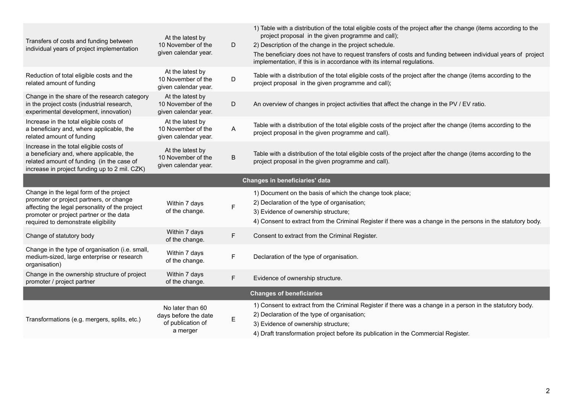| Transfers of costs and funding between<br>individual years of project implementation                                                                                                                                   | At the latest by<br>10 November of the<br>given calendar year. | D | 1) Table with a distribution of the total eligible costs of the project after the change (items according to the<br>project proposal in the given programme and call);<br>2) Description of the change in the project schedule.<br>The beneficiary does not have to request transfers of costs and funding between individual years of project<br>implementation, if this is in accordance with its internal regulations. |  |  |
|------------------------------------------------------------------------------------------------------------------------------------------------------------------------------------------------------------------------|----------------------------------------------------------------|---|---------------------------------------------------------------------------------------------------------------------------------------------------------------------------------------------------------------------------------------------------------------------------------------------------------------------------------------------------------------------------------------------------------------------------|--|--|
| Reduction of total eligible costs and the<br>related amount of funding                                                                                                                                                 | At the latest by<br>10 November of the<br>given calendar year. | D | Table with a distribution of the total eligible costs of the project after the change (items according to the<br>project proposal in the given programme and call);                                                                                                                                                                                                                                                       |  |  |
| Change in the share of the research category<br>in the project costs (industrial research,<br>experimental development, innovation)                                                                                    | At the latest by<br>10 November of the<br>given calendar year. | D | An overview of changes in project activities that affect the change in the PV / EV ratio.                                                                                                                                                                                                                                                                                                                                 |  |  |
| Increase in the total eligible costs of<br>a beneficiary and, where applicable, the<br>related amount of funding                                                                                                       | At the latest by<br>10 November of the<br>given calendar year. | A | Table with a distribution of the total eligible costs of the project after the change (items according to the<br>project proposal in the given programme and call).                                                                                                                                                                                                                                                       |  |  |
| Increase in the total eligible costs of<br>a beneficiary and, where applicable, the<br>related amount of funding (in the case of<br>increase in project funding up to 2 mil. CZK)                                      | At the latest by<br>10 November of the<br>given calendar year. | B | Table with a distribution of the total eligible costs of the project after the change (items according to the<br>project proposal in the given programme and call).                                                                                                                                                                                                                                                       |  |  |
| Changes in beneficiaries' data                                                                                                                                                                                         |                                                                |   |                                                                                                                                                                                                                                                                                                                                                                                                                           |  |  |
| Change in the legal form of the project<br>promoter or project partners, or change<br>affecting the legal personality of the project<br>promoter or project partner or the data<br>required to demonstrate eligibility | Within 7 days<br>of the change.                                | F | 1) Document on the basis of which the change took place;<br>2) Declaration of the type of organisation;<br>3) Evidence of ownership structure;<br>4) Consent to extract from the Criminal Register if there was a change in the persons in the statutory body.                                                                                                                                                            |  |  |
| Change of statutory body                                                                                                                                                                                               | Within 7 days<br>of the change.                                | F | Consent to extract from the Criminal Register.                                                                                                                                                                                                                                                                                                                                                                            |  |  |
| Change in the type of organisation (i.e. small,<br>medium-sized, large enterprise or research<br>organisation)                                                                                                         | Within 7 days<br>of the change.                                | F | Declaration of the type of organisation.                                                                                                                                                                                                                                                                                                                                                                                  |  |  |
| Change in the ownership structure of project<br>promoter / project partner                                                                                                                                             | Within 7 days<br>of the change.                                | F | Evidence of ownership structure.                                                                                                                                                                                                                                                                                                                                                                                          |  |  |
| <b>Changes of beneficiaries</b>                                                                                                                                                                                        |                                                                |   |                                                                                                                                                                                                                                                                                                                                                                                                                           |  |  |
| Transformations (e.g. mergers, splits, etc.)                                                                                                                                                                           | No later than 60<br>days before the date<br>of publication of  | E | 1) Consent to extract from the Criminal Register if there was a change in a person in the statutory body.<br>2) Declaration of the type of organisation;<br>3) Evidence of ownership structure;                                                                                                                                                                                                                           |  |  |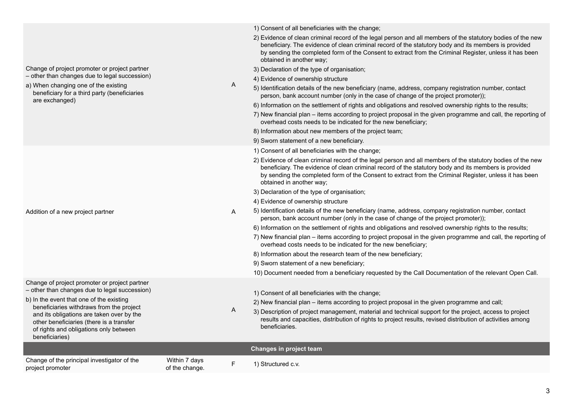| beneficiary for a third party (beneficiaries<br>are exchanged)                                                                                                                                                                                                                                                                              |                                 |   | person, bank account number (only in the case of change of the project promoter));<br>6) Information on the settlement of rights and obligations and resolved ownership rights to the results;<br>7) New financial plan – items according to project proposal in the given programme and call, the reporting of<br>overhead costs needs to be indicated for the new beneficiary;<br>8) Information about new members of the project team;<br>9) Sworn statement of a new beneficiary.<br>1) Consent of all beneficiaries with the change;<br>2) Evidence of clean criminal record of the legal person and all members of the statutory bodies of the new<br>beneficiary. The evidence of clean criminal record of the statutory body and its members is provided<br>by sending the completed form of the Consent to extract from the Criminal Register, unless it has been<br>obtained in another way;<br>3) Declaration of the type of organisation; |
|---------------------------------------------------------------------------------------------------------------------------------------------------------------------------------------------------------------------------------------------------------------------------------------------------------------------------------------------|---------------------------------|---|-------------------------------------------------------------------------------------------------------------------------------------------------------------------------------------------------------------------------------------------------------------------------------------------------------------------------------------------------------------------------------------------------------------------------------------------------------------------------------------------------------------------------------------------------------------------------------------------------------------------------------------------------------------------------------------------------------------------------------------------------------------------------------------------------------------------------------------------------------------------------------------------------------------------------------------------------------|
| Addition of a new project partner                                                                                                                                                                                                                                                                                                           |                                 | A | 4) Evidence of ownership structure<br>5) Identification details of the new beneficiary (name, address, company registration number, contact<br>person, bank account number (only in the case of change of the project promoter));<br>6) Information on the settlement of rights and obligations and resolved ownership rights to the results;<br>7) New financial plan – items according to project proposal in the given programme and call, the reporting of<br>overhead costs needs to be indicated for the new beneficiary;<br>8) Information about the research team of the new beneficiary;<br>9) Sworn statement of a new beneficiary;<br>10) Document needed from a beneficiary requested by the Call Documentation of the relevant Open Call.                                                                                                                                                                                                |
| Change of project promoter or project partner<br>- other than changes due to legal succession)<br>b) In the event that one of the existing<br>beneficiaries withdraws from the project<br>and its obligations are taken over by the<br>other beneficiaries (there is a transfer<br>of rights and obligations only between<br>beneficiaries) |                                 | A | 1) Consent of all beneficiaries with the change;<br>2) New financial plan – items according to project proposal in the given programme and call;<br>3) Description of project management, material and technical support for the project, access to project<br>results and capacities, distribution of rights to project results, revised distribution of activities among<br>beneficiaries.                                                                                                                                                                                                                                                                                                                                                                                                                                                                                                                                                          |
|                                                                                                                                                                                                                                                                                                                                             |                                 |   | Changes in project team                                                                                                                                                                                                                                                                                                                                                                                                                                                                                                                                                                                                                                                                                                                                                                                                                                                                                                                               |
| Change of the principal investigator of the<br>project promoter                                                                                                                                                                                                                                                                             | Within 7 days<br>of the change. | F | 1) Structured c.v.                                                                                                                                                                                                                                                                                                                                                                                                                                                                                                                                                                                                                                                                                                                                                                                                                                                                                                                                    |

## 1) Consent of all beneficiaries with the change;

2) Evidence of clean criminal record of the legal person and all members of the statutory bodies of the new beneficiary. The evidence of clean criminal record of the statutory body and its members is provided

3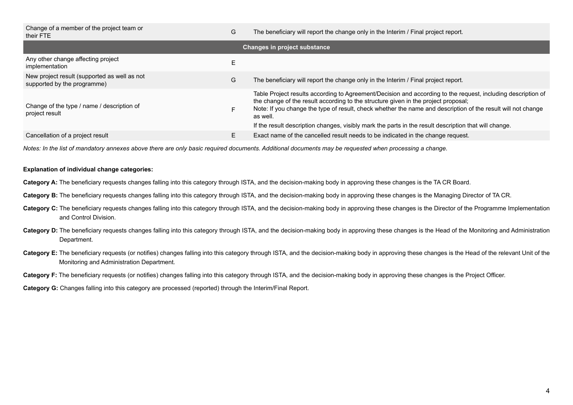| G  | The beneficiary will report the change only in the Interim / Final project report.                                                                                                                                                                                                                                                                                                                                                      |
|----|-----------------------------------------------------------------------------------------------------------------------------------------------------------------------------------------------------------------------------------------------------------------------------------------------------------------------------------------------------------------------------------------------------------------------------------------|
|    | <b>Changes in project substance</b>                                                                                                                                                                                                                                                                                                                                                                                                     |
| E. |                                                                                                                                                                                                                                                                                                                                                                                                                                         |
| G  | The beneficiary will report the change only in the Interim / Final project report.                                                                                                                                                                                                                                                                                                                                                      |
|    | Table Project results according to Agreement/Decision and according to the request, including description of<br>the change of the result according to the structure given in the project proposal;<br>Note: If you change the type of result, check whether the name and description of the result will not change<br>as well.<br>If the result description changes, visibly mark the parts in the result description that will change. |
|    | Exact name of the cancelled result needs to be indicated in the change request.                                                                                                                                                                                                                                                                                                                                                         |
|    |                                                                                                                                                                                                                                                                                                                                                                                                                                         |

*Notes: In the list of mandatory annexes above there are only basic required documents. Additional documents may be requested when processing a change.*

## **Explanation of individual change categories:**

- **Category A:** The beneficiary requests changes falling into this category through ISTA, and the decision-making body in approving these changes is the TA CR Board.
- **Category B:** The beneficiary requests changes falling into this category through ISTA, and the decision-making body in approving these changes is the Managing Director of TA CR.
- Category C: The beneficiary requests changes falling into this category through ISTA, and the decision-making body in approving these changes is the Director of the Programme Implementation and Control Division.
- Category D: The beneficiary requests changes falling into this category through ISTA, and the decision-making body in approving these changes is the Head of the Monitoring and Administration Department.
- **Category E:** The beneficiary requests (or notifies) changes falling into this category through ISTA, and the decision-making body in approving these changes is the Head of the relevant Unit of the Monitoring and Administration Department.

Category F: The beneficiary requests (or notifies) changes falling into this category through ISTA, and the decision-making body in approving these changes is the Project Officer.

**Category G:** Changes falling into this category are processed (reported) through the Interim/Final Report.